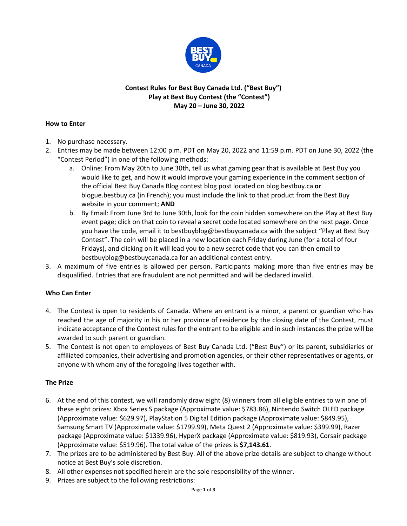

## **Contest Rules for Best Buy Canada Ltd. ("Best Buy") Play at Best Buy Contest (the "Contest") May 20 – June 30, 2022**

#### **How to Enter**

- 1. No purchase necessary.
- 2. Entries may be made between 12:00 p.m. PDT on May 20, 2022 and 11:59 p.m. PDT on June 30, 2022 (the "Contest Period") in one of the following methods:
	- a. Online: From May 20th to June 30th, tell us what gaming gear that is available at Best Buy you would like to get, and how it would improve your gaming experience in the comment section of the official Best Buy Canada Blog contest blog post located on blog.bestbuy.ca **or**  blogue.bestbuy.ca (in French); you must include the link to that product from the Best Buy website in your comment; **AND**
	- b. By Email: From June 3rd to June 30th, look for the coin hidden somewhere on the Play at Best Buy event page; click on that coin to reveal a secret code located somewhere on the next page. Once you have the code, email it to bestbuyblog@bestbuycanada.ca with the subject "Play at Best Buy Contest". The coin will be placed in a new location each Friday during June (for a total of four Fridays), and clicking on it will lead you to a new secret code that you can then email to bestbuyblog@bestbuycanada.ca for an additional contest entry.
- 3. A maximum of five entries is allowed per person. Participants making more than five entries may be disqualified. Entries that are fraudulent are not permitted and will be declared invalid.

# **Who Can Enter**

- 4. The Contest is open to residents of Canada. Where an entrant is a minor, a parent or guardian who has reached the age of majority in his or her province of residence by the closing date of the Contest, must indicate acceptance of the Contest rules for the entrant to be eligible and in such instances the prize will be awarded to such parent or guardian.
- 5. The Contest is not open to employees of Best Buy Canada Ltd. ("Best Buy") or its parent, subsidiaries or affiliated companies, their advertising and promotion agencies, or their other representatives or agents, or anyone with whom any of the foregoing lives together with.

# **The Prize**

- 6. At the end of this contest, we will randomly draw eight (8) winners from all eligible entries to win one of these eight prizes: Xbox Series S package (Approximate value: \$783.86), Nintendo Switch OLED package (Approximate value: \$629.97), PlayStation 5 Digital Edition package (Approximate value: \$849.95), Samsung Smart TV (Approximate value: \$1799.99), Meta Quest 2 (Approximate value: \$399.99), Razer package (Approximate value: \$1339.96), HyperX package (Approximate value: \$819.93), Corsair package (Approximate value: \$519.96). The total value of the prizes is **\$7,143.61**.
- 7. The prizes are to be administered by Best Buy. All of the above prize details are subject to change without notice at Best Buy's sole discretion.
- 8. All other expenses not specified herein are the sole responsibility of the winner.
- 9. Prizes are subject to the following restrictions: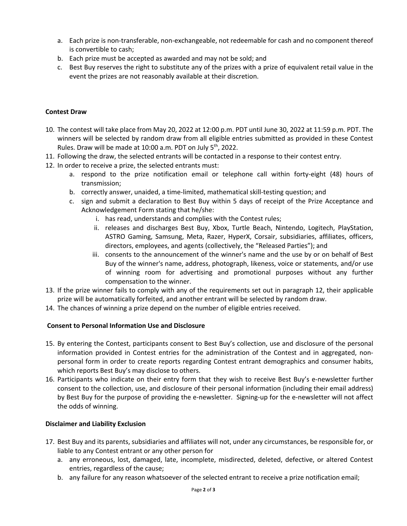- a. Each prize is non-transferable, non-exchangeable, not redeemable for cash and no component thereof is convertible to cash;
- b. Each prize must be accepted as awarded and may not be sold; and
- c. Best Buy reserves the right to substitute any of the prizes with a prize of equivalent retail value in the event the prizes are not reasonably available at their discretion.

## **Contest Draw**

- 10. The contest will take place from May 20, 2022 at 12:00 p.m. PDT until June 30, 2022 at 11:59 p.m. PDT. The winners will be selected by random draw from all eligible entries submitted as provided in these Contest Rules. Draw will be made at 10:00 a.m. PDT on July 5<sup>th</sup>, 2022.
- 11. Following the draw, the selected entrants will be contacted in a response to their contest entry.
- 12. In order to receive a prize, the selected entrants must:
	- a. respond to the prize notification email or telephone call within forty-eight (48) hours of transmission;
	- b. correctly answer, unaided, a time-limited, mathematical skill-testing question; and
	- c. sign and submit a declaration to Best Buy within 5 days of receipt of the Prize Acceptance and Acknowledgement Form stating that he/she:
		- i. has read, understands and complies with the Contest rules;
		- ii. releases and discharges Best Buy, Xbox, Turtle Beach, Nintendo, Logitech, PlayStation, ASTRO Gaming, Samsung, Meta, Razer, HyperX, Corsair, subsidiaries, affiliates, officers, directors, employees, and agents (collectively, the "Released Parties"); and
		- iii. consents to the announcement of the winner's name and the use by or on behalf of Best Buy of the winner's name, address, photograph, likeness, voice or statements, and/or use of winning room for advertising and promotional purposes without any further compensation to the winner.
- 13. If the prize winner fails to comply with any of the requirements set out in paragraph 12, their applicable prize will be automatically forfeited, and another entrant will be selected by random draw.
- 14. The chances of winning a prize depend on the number of eligible entries received.

# **Consent to Personal Information Use and Disclosure**

- 15. By entering the Contest, participants consent to Best Buy's collection, use and disclosure of the personal information provided in Contest entries for the administration of the Contest and in aggregated, nonpersonal form in order to create reports regarding Contest entrant demographics and consumer habits, which reports Best Buy's may disclose to others.
- 16. Participants who indicate on their entry form that they wish to receive Best Buy's e-newsletter further consent to the collection, use, and disclosure of their personal information (including their email address) by Best Buy for the purpose of providing the e-newsletter. Signing-up for the e-newsletter will not affect the odds of winning.

#### **Disclaimer and Liability Exclusion**

- 17. Best Buy and its parents, subsidiaries and affiliates will not, under any circumstances, be responsible for, or liable to any Contest entrant or any other person for
	- a. any erroneous, lost, damaged, late, incomplete, misdirected, deleted, defective, or altered Contest entries, regardless of the cause;
	- b. any failure for any reason whatsoever of the selected entrant to receive a prize notification email;